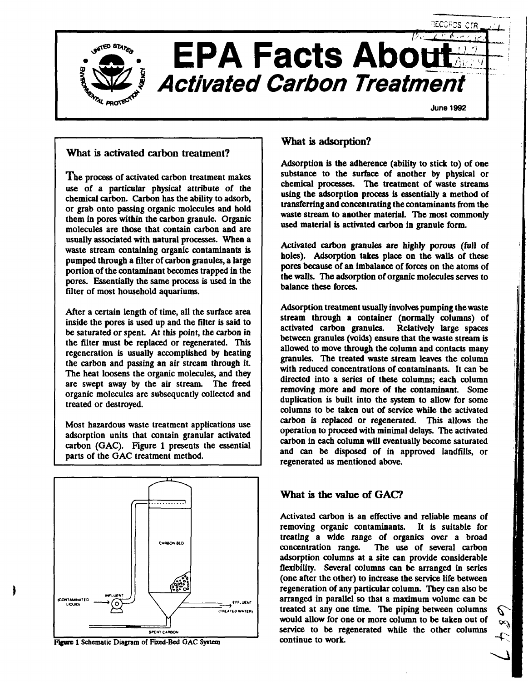

## What is activated carbon treatment?

The process of activated carbon treatment makes use of a particular physical attribute of the chemical carbon. Carbon has the ability to adsorb, or grab onto passing organic molecules and hold them in pores within the carbon granule. Organic molecules are those that contain carbon and are usually associated with natural processes. When a waste stream containing organic contaminants is pumped through a filter of carbon granules, a large portion of the contaminant becomes trapped in the pores. Essentially the same process is used in the filter of most household aquariums.

After a certain length of time, all the surface area inside the pores is used up and the filter is said to be saturated or spent. At this point, the carbon in the filter must be replaced or regenerated. This regeneration is usually accomplished by heating the carbon and passing an air stream through it The heat loosens the organic molecules, and they are swept away by the air stream. The freed organic molecules are subsequently collected and treated or destroyed.

Most hazardous waste treatment applications use adsorption units that contain granular activated carbon (GAC). Figure 1 presents the essential parts of the GAC treatment method.



#### **Figure 1 Schematic Diagram of Fixed-Bed GAC System**

### What is adsorption?

Adsorption is the adherence (ability to stick to) of one substance to the surface of another by physical or chemical processes. The treatment of waste streams using the adsorption process is essentially a method of transferring and concentrating the contaminants from the waste stream to another material. The most commonly used material is activated carbon in granule form.

Activated carbon granules are highly porous (full of holes). Adsorption takes place on the walls of these pores because of an imbalance of forces on the atoms of the walls. The adsorption of organic molecules serves to balance these forces.

Adsorption treatment usually involves pumping the waste stream through a container (normally columns) of activated carbon granules. Relatively large spaces between granules (voids) ensure that the waste stream is allowed to move through the column and contacts many granules. The treated waste stream leaves the column with reduced concentrations of contaminants. It can be directed into a series of these columns; each column removing more and more of the contaminant. Some duplication is built into the system to allow for some columns to be taken out of service while the activated carbon is replaced or regenerated. This allows the operation to proceed with minimal delays. The activated carbon in each column will eventually become saturated and can be disposed of in approved landfills, or regenerated as mentioned above.

## What is the value of GAC?

Activated carbon is an effective and reliable means of removing organic contaminants. It is suitable for treating a wide range of organics over a broad concentration range. The use of several carbon adsorption columns at a site can provide considerable flexibility. Several columns can be arranged in series (one after the other) to increase the service life between regeneration of any particular column. They can also be arranged in parallel so that a maximum volume can be treated at any one time. The piping between columns would allow for one or more column to be taken out of service to be regenerated while the other columns continue to work.

P.  $\mathscr{A}$